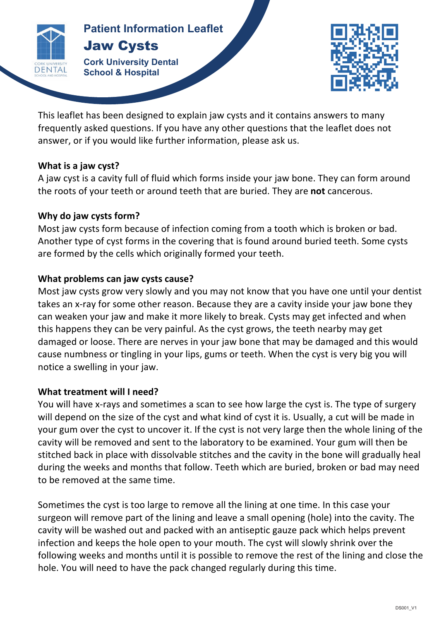

### **Patients Patient Information Leaflet** Jaw Cysts

**Cork University Dental School & Hospital**



This leaflet has been designed to explain jaw cysts and it contains answers to many frequently asked questions. If you have any other questions that the leaflet does not answer, or if you would like further information, please ask us.

**JAW** 

### **What is a jaw cyst?**

A jaw cyst is a cavity full of fluid which forms inside your jaw bone. They can form around the roots of your teeth or around teeth that are buried. They are **not** cancerous.

# Why do jaw cysts form?

Most jaw cysts form because of infection coming from a tooth which is broken or bad. Another type of cyst forms in the covering that is found around buried teeth. Some cysts are formed by the cells which originally formed your teeth.

## **What problems can jaw cysts cause?**

Most jaw cysts grow very slowly and you may not know that you have one until your dentist takes an x-ray for some other reason. Because they are a cavity inside your jaw bone they can weaken your jaw and make it more likely to break. Cysts may get infected and when this happens they can be very painful. As the cyst grows, the teeth nearby may get damaged or loose. There are nerves in your jaw bone that may be damaged and this would cause numbness or tingling in your lips, gums or teeth. When the cyst is very big you will notice a swelling in your jaw.

### **What treatment will I need?**

You will have x-rays and sometimes a scan to see how large the cyst is. The type of surgery will depend on the size of the cyst and what kind of cyst it is. Usually, a cut will be made in your gum over the cyst to uncover it. If the cyst is not very large then the whole lining of the cavity will be removed and sent to the laboratory to be examined. Your gum will then be stitched back in place with dissolvable stitches and the cavity in the bone will gradually heal during the weeks and months that follow. Teeth which are buried, broken or bad may need to be removed at the same time.

Sometimes the cyst is too large to remove all the lining at one time. In this case your surgeon will remove part of the lining and leave a small opening (hole) into the cavity. The cavity will be washed out and packed with an antiseptic gauze pack which helps prevent infection and keeps the hole open to your mouth. The cyst will slowly shrink over the following weeks and months until it is possible to remove the rest of the lining and close the hole. You will need to have the pack changed regularly during this time.